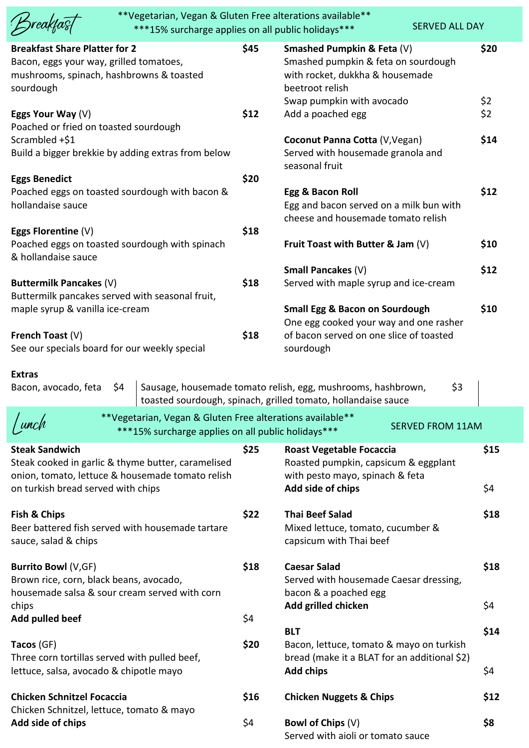|                                                                                                                                                                       | **Vegetarian, Vegan & Gluten Free alterations available**<br>***15% surcharge applies on all public holidays*** |      |                                                                                                                                                      | <b>SERVED ALL DAY</b>   |             |
|-----------------------------------------------------------------------------------------------------------------------------------------------------------------------|-----------------------------------------------------------------------------------------------------------------|------|------------------------------------------------------------------------------------------------------------------------------------------------------|-------------------------|-------------|
| <b>Breakfast Share Platter for 2</b><br>Bacon, eggs your way, grilled tomatoes,<br>mushrooms, spinach, hashbrowns & toasted<br>sourdough                              |                                                                                                                 | \$45 | Smashed Pumpkin & Feta (V)<br>Smashed pumpkin & feta on sourdough<br>with rocket, dukkha & housemade<br>beetroot relish<br>Swap pumpkin with avocado |                         | \$20<br>\$2 |
| Eggs Your Way $(V)$<br>Poached or fried on toasted sourdough                                                                                                          |                                                                                                                 | \$12 | Add a poached egg                                                                                                                                    |                         | \$2         |
| Scrambled +\$1<br>Build a bigger brekkie by adding extras from below                                                                                                  |                                                                                                                 |      | Coconut Panna Cotta (V, Vegan)<br>Served with housemade granola and<br>seasonal fruit                                                                |                         | \$14        |
| <b>Eggs Benedict</b><br>Poached eggs on toasted sourdough with bacon &<br>hollandaise sauce                                                                           |                                                                                                                 | \$20 | Egg & Bacon Roll<br>Egg and bacon served on a milk bun with<br>cheese and housemade tomato relish                                                    |                         | \$12        |
| Eggs Florentine $(V)$<br>Poached eggs on toasted sourdough with spinach<br>& hollandaise sauce                                                                        |                                                                                                                 | \$18 | Fruit Toast with Butter & Jam $(V)$                                                                                                                  |                         | \$10        |
| Buttermilk Pancakes (V)<br>Buttermilk pancakes served with seasonal fruit,                                                                                            |                                                                                                                 | \$18 | Small Pancakes (V)<br>Served with maple syrup and ice-cream                                                                                          |                         | \$12        |
| maple syrup & vanilla ice-cream<br>French Toast $(V)$<br>See our specials board for our weekly special                                                                |                                                                                                                 | \$18 | <b>Small Egg &amp; Bacon on Sourdough</b><br>One egg cooked your way and one rasher<br>of bacon served on one slice of toasted<br>sourdough          |                         | \$10        |
| <b>Extras</b><br>\$4<br>Bacon, avocado, feta                                                                                                                          |                                                                                                                 |      | Sausage, housemade tomato relish, egg, mushrooms, hashbrown,<br>toasted sourdough, spinach, grilled tomato, hollandaise sauce                        | \$3                     |             |
|                                                                                                                                                                       | **Vegetarian, Vegan & Gluten Free alterations available**<br>***15% surcharge applies on all public holidays*** |      |                                                                                                                                                      | <b>SERVED FROM 11AM</b> |             |
| <b>Steak Sandwich</b><br>Steak cooked in garlic & thyme butter, caramelised<br>onion, tomato, lettuce & housemade tomato relish<br>on turkish bread served with chips |                                                                                                                 | \$25 | <b>Roast Vegetable Focaccia</b><br>Roasted pumpkin, capsicum & eggplant<br>with pesto mayo, spinach & feta<br>Add side of chips                      |                         | \$15<br>\$4 |
| Fish & Chips<br>Beer battered fish served with housemade tartare<br>sauce, salad & chips                                                                              |                                                                                                                 | \$22 | <b>Thai Beef Salad</b><br>Mixed lettuce, tomato, cucumber &<br>capsicum with Thai beef                                                               |                         | \$18        |
| Burrito Bowl (V,GF)<br>Brown rice, corn, black beans, avocado,<br>housemade salsa & sour cream served with corn<br>chips                                              |                                                                                                                 | \$18 | <b>Caesar Salad</b><br>Served with housemade Caesar dressing,<br>bacon & a poached egg<br>Add grilled chicken                                        |                         | \$18<br>\$4 |
| Add pulled beef                                                                                                                                                       |                                                                                                                 | \$4  | <b>BLT</b>                                                                                                                                           |                         | \$14        |
| Tacos (GF)<br>Three corn tortillas served with pulled beef,<br>lettuce, salsa, avocado & chipotle mayo                                                                |                                                                                                                 | \$20 | Bacon, lettuce, tomato & mayo on turkish<br>bread (make it a BLAT for an additional \$2)<br><b>Add chips</b>                                         |                         | \$4         |
| <b>Chicken Schnitzel Focaccia</b>                                                                                                                                     |                                                                                                                 | \$16 | <b>Chicken Nuggets &amp; Chips</b>                                                                                                                   |                         | \$12        |
| Chicken Schnitzel, lettuce, tomato & mayo<br>Add side of chips                                                                                                        |                                                                                                                 | \$4  | Bowl of Chips (V)<br>Served with aioli or tomato sauce                                                                                               |                         | \$8         |